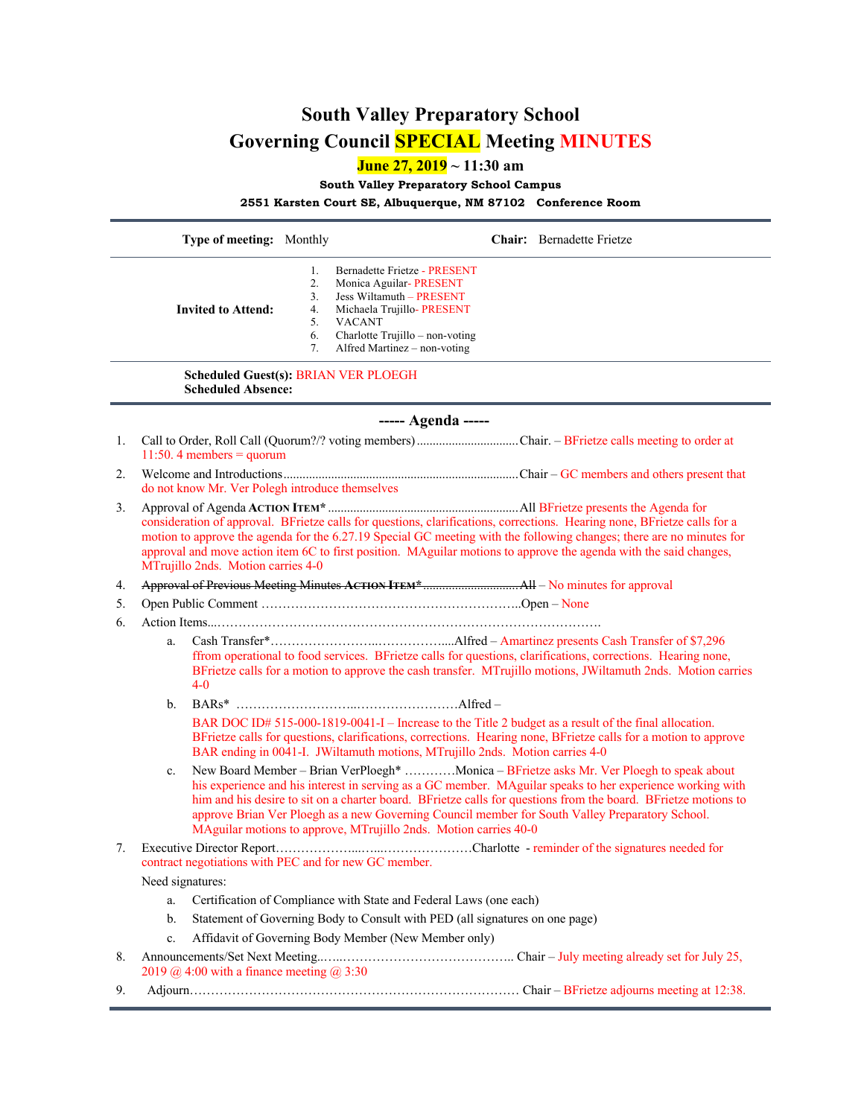## **South Valley Preparatory School Governing Council SPECIAL Meeting MINUTES**

**June 27, 2019 ~ 11:30 am**

**South Valley Preparatory School Campus**

**2551 Karsten Court SE, Albuquerque, NM 87102 Conference Room**

|                                                                          | Type of meeting: Monthly                                                                                                                                                                                                                                                                                                                                                                                    |                                                                                                                                                                                                                                                                                                                                                                                                                                                                                                |                                                                                                                                                                                     |  | Chair: Bernadette Frietze |  |
|--------------------------------------------------------------------------|-------------------------------------------------------------------------------------------------------------------------------------------------------------------------------------------------------------------------------------------------------------------------------------------------------------------------------------------------------------------------------------------------------------|------------------------------------------------------------------------------------------------------------------------------------------------------------------------------------------------------------------------------------------------------------------------------------------------------------------------------------------------------------------------------------------------------------------------------------------------------------------------------------------------|-------------------------------------------------------------------------------------------------------------------------------------------------------------------------------------|--|---------------------------|--|
|                                                                          | <b>Invited to Attend:</b>                                                                                                                                                                                                                                                                                                                                                                                   | 1.<br>2.<br>3.<br>4.<br>5.<br><b>VACANT</b><br>6.<br>7.                                                                                                                                                                                                                                                                                                                                                                                                                                        | Bernadette Frietze - PRESENT<br>Monica Aguilar-PRESENT<br>Jess Wiltamuth - PRESENT<br>Michaela Trujillo- PRESENT<br>Charlotte Trujillo - non-voting<br>Alfred Martinez - non-voting |  |                           |  |
| <b>Scheduled Guest(s): BRIAN VER PLOEGH</b><br><b>Scheduled Absence:</b> |                                                                                                                                                                                                                                                                                                                                                                                                             |                                                                                                                                                                                                                                                                                                                                                                                                                                                                                                |                                                                                                                                                                                     |  |                           |  |
| ----- Agenda -----                                                       |                                                                                                                                                                                                                                                                                                                                                                                                             |                                                                                                                                                                                                                                                                                                                                                                                                                                                                                                |                                                                                                                                                                                     |  |                           |  |
| 1.                                                                       |                                                                                                                                                                                                                                                                                                                                                                                                             | Call to Order, Roll Call (Quorum?/? voting members) Chair. - BFrietze calls meeting to order at<br>11:50. 4 members = $quorum$                                                                                                                                                                                                                                                                                                                                                                 |                                                                                                                                                                                     |  |                           |  |
| 2.                                                                       |                                                                                                                                                                                                                                                                                                                                                                                                             | do not know Mr. Ver Polegh introduce themselves                                                                                                                                                                                                                                                                                                                                                                                                                                                |                                                                                                                                                                                     |  |                           |  |
| 3.                                                                       | consideration of approval. BFrietze calls for questions, clarifications, corrections. Hearing none, BFrietze calls for a<br>motion to approve the agenda for the 6.27.19 Special GC meeting with the following changes; there are no minutes for<br>approval and move action item 6C to first position. MAguilar motions to approve the agenda with the said changes,<br>MTrujillo 2nds. Motion carries 4-0 |                                                                                                                                                                                                                                                                                                                                                                                                                                                                                                |                                                                                                                                                                                     |  |                           |  |
| 4.                                                                       |                                                                                                                                                                                                                                                                                                                                                                                                             |                                                                                                                                                                                                                                                                                                                                                                                                                                                                                                |                                                                                                                                                                                     |  |                           |  |
| 5.                                                                       |                                                                                                                                                                                                                                                                                                                                                                                                             |                                                                                                                                                                                                                                                                                                                                                                                                                                                                                                |                                                                                                                                                                                     |  |                           |  |
| 6.                                                                       |                                                                                                                                                                                                                                                                                                                                                                                                             |                                                                                                                                                                                                                                                                                                                                                                                                                                                                                                |                                                                                                                                                                                     |  |                           |  |
|                                                                          | a.<br>$4-0$                                                                                                                                                                                                                                                                                                                                                                                                 | ffrom operational to food services. BFrietze calls for questions, clarifications, corrections. Hearing none,<br>BFrietze calls for a motion to approve the cash transfer. MTrujillo motions, JWiltamuth 2nds. Motion carries                                                                                                                                                                                                                                                                   |                                                                                                                                                                                     |  |                           |  |
|                                                                          | b.                                                                                                                                                                                                                                                                                                                                                                                                          |                                                                                                                                                                                                                                                                                                                                                                                                                                                                                                |                                                                                                                                                                                     |  |                           |  |
|                                                                          |                                                                                                                                                                                                                                                                                                                                                                                                             | BAR DOC ID# 515-000-1819-0041-I - Increase to the Title 2 budget as a result of the final allocation.<br>BFrietze calls for questions, clarifications, corrections. Hearing none, BFrietze calls for a motion to approve<br>BAR ending in 0041-I. JWiltamuth motions, MTrujillo 2nds. Motion carries 4-0                                                                                                                                                                                       |                                                                                                                                                                                     |  |                           |  |
|                                                                          | c.                                                                                                                                                                                                                                                                                                                                                                                                          | New Board Member - Brian VerPloegh* Monica - BFrietze asks Mr. Ver Ploegh to speak about<br>his experience and his interest in serving as a GC member. MAguilar speaks to her experience working with<br>him and his desire to sit on a charter board. BFrietze calls for questions from the board. BFrietze motions to<br>approve Brian Ver Ploegh as a new Governing Council member for South Valley Preparatory School.<br>MAguilar motions to approve, MTrujillo 2nds. Motion carries 40-0 |                                                                                                                                                                                     |  |                           |  |
| 7.                                                                       | contract negotiations with PEC and for new GC member.                                                                                                                                                                                                                                                                                                                                                       |                                                                                                                                                                                                                                                                                                                                                                                                                                                                                                |                                                                                                                                                                                     |  |                           |  |
|                                                                          | Need signatures:                                                                                                                                                                                                                                                                                                                                                                                            |                                                                                                                                                                                                                                                                                                                                                                                                                                                                                                |                                                                                                                                                                                     |  |                           |  |
|                                                                          | a.                                                                                                                                                                                                                                                                                                                                                                                                          | Certification of Compliance with State and Federal Laws (one each)                                                                                                                                                                                                                                                                                                                                                                                                                             |                                                                                                                                                                                     |  |                           |  |
|                                                                          | b.                                                                                                                                                                                                                                                                                                                                                                                                          | Statement of Governing Body to Consult with PED (all signatures on one page)                                                                                                                                                                                                                                                                                                                                                                                                                   |                                                                                                                                                                                     |  |                           |  |
|                                                                          | c.                                                                                                                                                                                                                                                                                                                                                                                                          | Affidavit of Governing Body Member (New Member only)                                                                                                                                                                                                                                                                                                                                                                                                                                           |                                                                                                                                                                                     |  |                           |  |
| 8.                                                                       |                                                                                                                                                                                                                                                                                                                                                                                                             | 2019 @ 4:00 with a finance meeting @ 3:30                                                                                                                                                                                                                                                                                                                                                                                                                                                      |                                                                                                                                                                                     |  |                           |  |
| 9.                                                                       |                                                                                                                                                                                                                                                                                                                                                                                                             |                                                                                                                                                                                                                                                                                                                                                                                                                                                                                                |                                                                                                                                                                                     |  |                           |  |